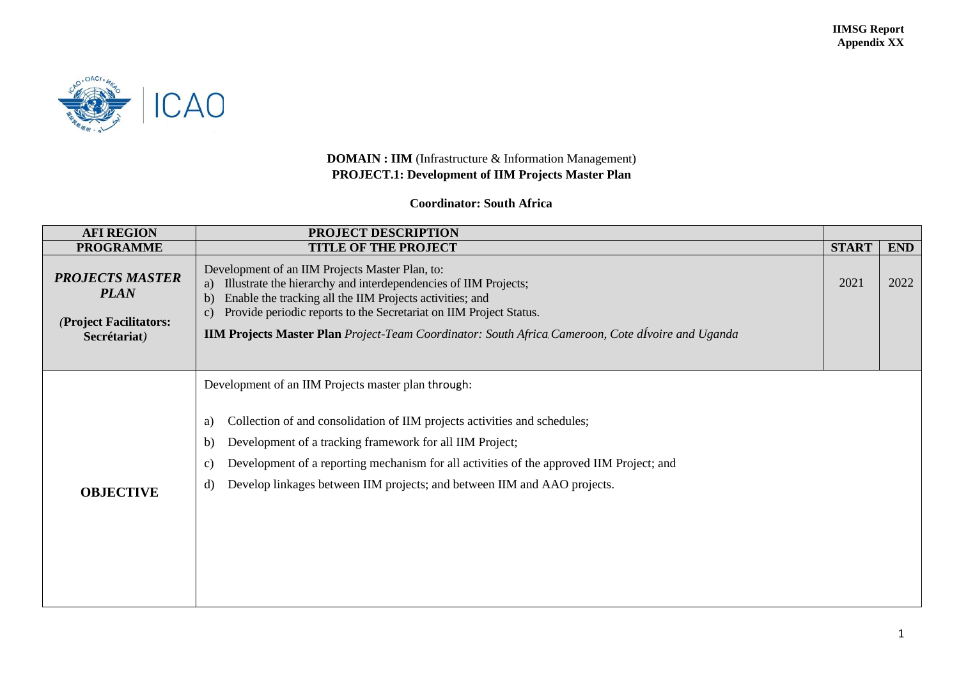

## **DOMAIN : IIM** (Infrastructure & Information Management) **PROJECT.1: Development of IIM Projects Master Plan**

## **Coordinator: South Africa**

| <b>AFI REGION</b>                                                                                                                                                                                                                                                                                                                                                                                                | PROJECT DESCRIPTION                                                                                                                                                                                                                                                                                                                                                                 |              |            |
|------------------------------------------------------------------------------------------------------------------------------------------------------------------------------------------------------------------------------------------------------------------------------------------------------------------------------------------------------------------------------------------------------------------|-------------------------------------------------------------------------------------------------------------------------------------------------------------------------------------------------------------------------------------------------------------------------------------------------------------------------------------------------------------------------------------|--------------|------------|
| <b>PROGRAMME</b>                                                                                                                                                                                                                                                                                                                                                                                                 | <b>TITLE OF THE PROJECT</b>                                                                                                                                                                                                                                                                                                                                                         | <b>START</b> | <b>END</b> |
| <b>PROJECTS MASTER</b><br><b>PLAN</b><br>(Project Facilitators:<br>Secrétariat)                                                                                                                                                                                                                                                                                                                                  | Development of an IIM Projects Master Plan, to:<br>Illustrate the hierarchy and interdependencies of IIM Projects;<br>a)<br>Enable the tracking all the IIM Projects activities; and<br>b)<br>Provide periodic reports to the Secretariat on IIM Project Status.<br>c)<br><b>IIM Projects Master Plan</b> Project-Team Coordinator: South Africa, Cameroon, Cote divoire and Uganda | 2021         | 2022       |
| Development of an IIM Projects master plan through:<br>Collection of and consolidation of IIM projects activities and schedules;<br>a)<br>Development of a tracking framework for all IIM Project;<br>b)<br>Development of a reporting mechanism for all activities of the approved IIM Project; and<br>C)<br>Develop linkages between IIM projects; and between IIM and AAO projects.<br>d)<br><b>OBJECTIVE</b> |                                                                                                                                                                                                                                                                                                                                                                                     |              |            |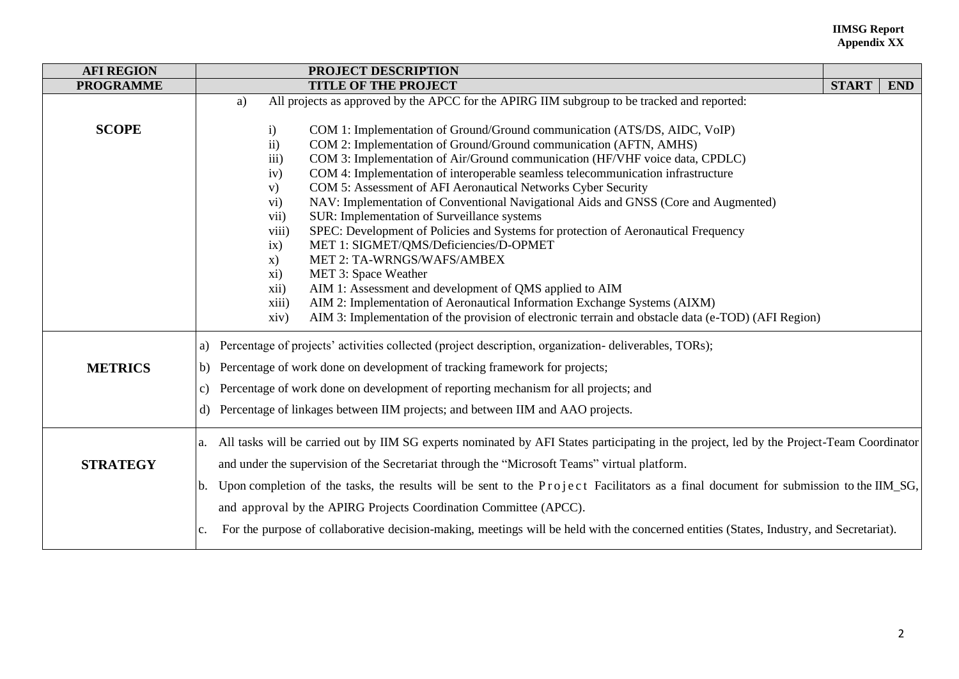## **IIMSG Report Appendix XX**

| <b>AFI REGION</b> | PROJECT DESCRIPTION                                                                                                                                        |  |            |  |  |
|-------------------|------------------------------------------------------------------------------------------------------------------------------------------------------------|--|------------|--|--|
| <b>PROGRAMME</b>  | <b>TITLE OF THE PROJECT</b>                                                                                                                                |  | <b>END</b> |  |  |
|                   | All projects as approved by the APCC for the APIRG IIM subgroup to be tracked and reported:<br>a)                                                          |  |            |  |  |
| <b>SCOPE</b>      | COM 1: Implementation of Ground/Ground communication (ATS/DS, AIDC, VoIP)<br>i)                                                                            |  |            |  |  |
|                   | COM 2: Implementation of Ground/Ground communication (AFTN, AMHS)<br>$\mathbf{ii}$                                                                         |  |            |  |  |
|                   | COM 3: Implementation of Air/Ground communication (HF/VHF voice data, CPDLC)<br>iii)                                                                       |  |            |  |  |
|                   | COM 4: Implementation of interoperable seamless telecommunication infrastructure<br>iv)<br>COM 5: Assessment of AFI Aeronautical Networks Cyber Security   |  |            |  |  |
|                   | V)<br>NAV: Implementation of Conventional Navigational Aids and GNSS (Core and Augmented)<br>$\overline{vi}$ )                                             |  |            |  |  |
|                   | SUR: Implementation of Surveillance systems<br>vii)                                                                                                        |  |            |  |  |
|                   | SPEC: Development of Policies and Systems for protection of Aeronautical Frequency<br>viii)                                                                |  |            |  |  |
|                   | ix)<br>MET 1: SIGMET/QMS/Deficiencies/D-OPMET                                                                                                              |  |            |  |  |
|                   | MET 2: TA-WRNGS/WAFS/AMBEX<br>$\mathbf{x})$                                                                                                                |  |            |  |  |
|                   | MET 3: Space Weather<br>xi)                                                                                                                                |  |            |  |  |
|                   | AIM 1: Assessment and development of QMS applied to AIM<br>xii)                                                                                            |  |            |  |  |
|                   | AIM 2: Implementation of Aeronautical Information Exchange Systems (AIXM)<br>xiii)                                                                         |  |            |  |  |
|                   | AIM 3: Implementation of the provision of electronic terrain and obstacle data (e-TOD) (AFI Region)<br>xiv)                                                |  |            |  |  |
|                   | a) Percentage of projects' activities collected (project description, organization-deliverables, TORs);                                                    |  |            |  |  |
| <b>METRICS</b>    | b) Percentage of work done on development of tracking framework for projects;                                                                              |  |            |  |  |
|                   | c) Percentage of work done on development of reporting mechanism for all projects; and                                                                     |  |            |  |  |
|                   | d) Percentage of linkages between IIM projects; and between IIM and AAO projects.                                                                          |  |            |  |  |
|                   | a. All tasks will be carried out by IIM SG experts nominated by AFI States participating in the project, led by the Project-Team Coordinator               |  |            |  |  |
| <b>STRATEGY</b>   | and under the supervision of the Secretariat through the "Microsoft Teams" virtual platform.                                                               |  |            |  |  |
|                   | b. Upon completion of the tasks, the results will be sent to the Project Facilitators as a final document for submission to the IIM_SG,                    |  |            |  |  |
|                   | and approval by the APIRG Projects Coordination Committee (APCC).                                                                                          |  |            |  |  |
|                   |                                                                                                                                                            |  |            |  |  |
|                   | For the purpose of collaborative decision-making, meetings will be held with the concerned entities (States, Industry, and Secretariat).<br>$\mathbf{c}$ . |  |            |  |  |
|                   |                                                                                                                                                            |  |            |  |  |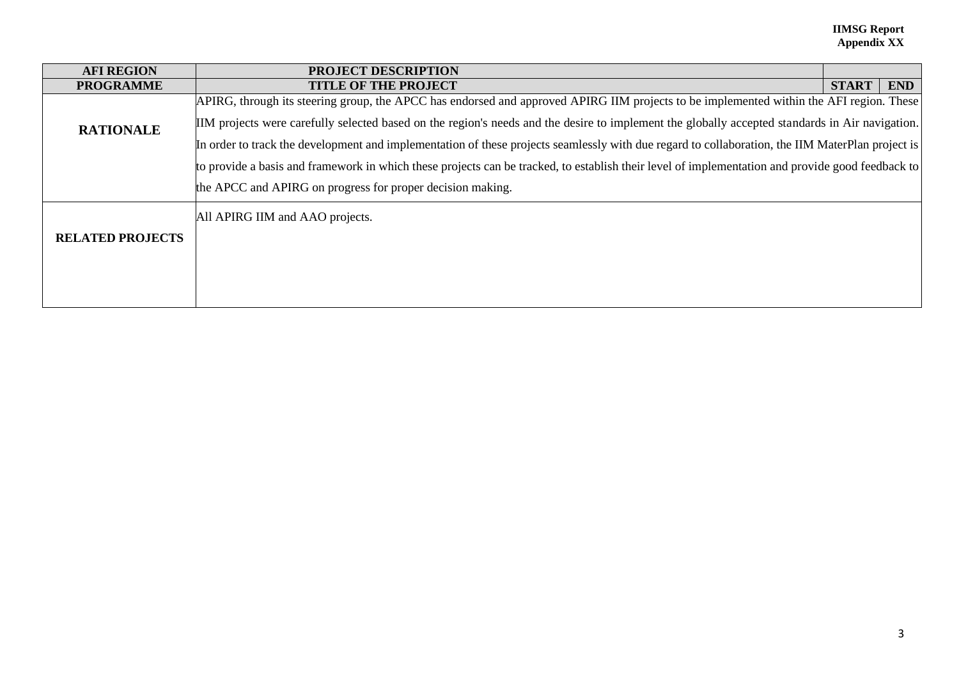## **IIMSG Report Appendix XX**

| <b>AFI REGION</b>       | <b>PROJECT DESCRIPTION</b>                                                                                                                       |              |            |
|-------------------------|--------------------------------------------------------------------------------------------------------------------------------------------------|--------------|------------|
| <b>PROGRAMME</b>        | <b>TITLE OF THE PROJECT</b>                                                                                                                      | <b>START</b> | <b>END</b> |
|                         | APIRG, through its steering group, the APCC has endorsed and approved APIRG IIM projects to be implemented within the AFI region. These          |              |            |
| <b>RATIONALE</b>        | IIM projects were carefully selected based on the region's needs and the desire to implement the globally accepted standards in Air navigation.  |              |            |
|                         | In order to track the development and implementation of these projects seamlessly with due regard to collaboration, the IIM MaterPlan project is |              |            |
|                         | to provide a basis and framework in which these projects can be tracked, to establish their level of implementation and provide good feedback to |              |            |
|                         | the APCC and APIRG on progress for proper decision making.                                                                                       |              |            |
|                         | All APIRG IIM and AAO projects.                                                                                                                  |              |            |
| <b>RELATED PROJECTS</b> |                                                                                                                                                  |              |            |
|                         |                                                                                                                                                  |              |            |
|                         |                                                                                                                                                  |              |            |
|                         |                                                                                                                                                  |              |            |